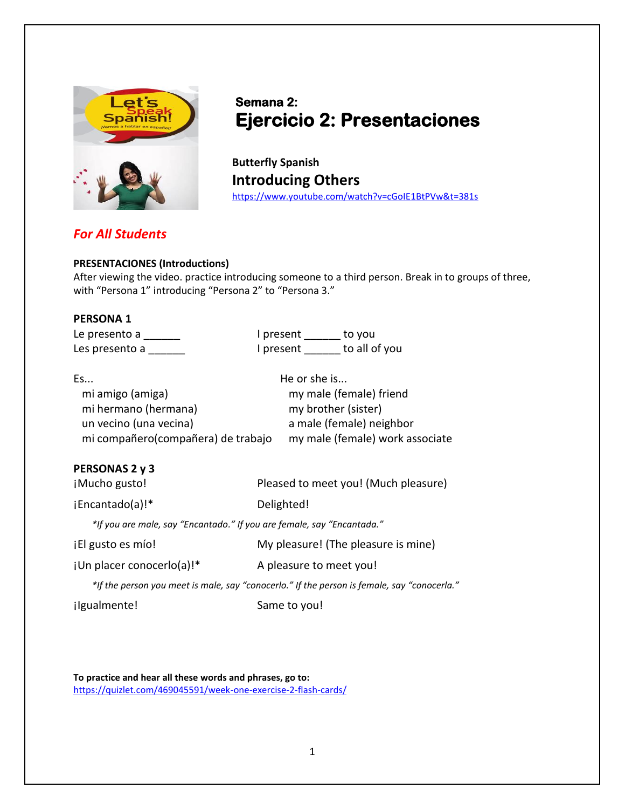

# **Semana 2: Ejercicio 2: Presentaciones**

**Butterfly Spanish Introducing Others** <https://www.youtube.com/watch?v=cGoIE1BtPVw&t=381s>

# *For All Students*

#### **PRESENTACIONES (Introductions)**

After viewing the video. practice introducing someone to a third person. Break in to groups of three, with "Persona 1" introducing "Persona 2" to "Persona 3."

#### **PERSONA 1**

| Le presento a  | I present | to you        |
|----------------|-----------|---------------|
| Les presento a | I present | to all of you |

| Es                                 | He or she is                    |
|------------------------------------|---------------------------------|
| mi amigo (amiga)                   | my male (female) friend         |
| mi hermano (hermana)               | my brother (sister)             |
| un vecino (una vecina)             | a male (female) neighbor        |
| mi compañero(compañera) de trabajo | my male (female) work associate |

## **PERSONAS 2 y 3**

¡Mucho gusto! Pleased to meet you! (Much pleasure)

¡Encantado(a)!\* Delighted!

*\*If you are male, say "Encantado." If you are female, say "Encantada."*

| jEl gusto es mío! |                                     |
|-------------------|-------------------------------------|
|                   | My pleasure! (The pleasure is mine) |

jUn placer conocerlo(a)!\* <br>A pleasure to meet you!

*\*If the person you meet is male, say "conocerlo." If the person is female, say "conocerla."*

¡Igualmente! Same to you!

**To practice and hear all these words and phrases, go to:** <https://quizlet.com/469045591/week-one-exercise-2-flash-cards/>